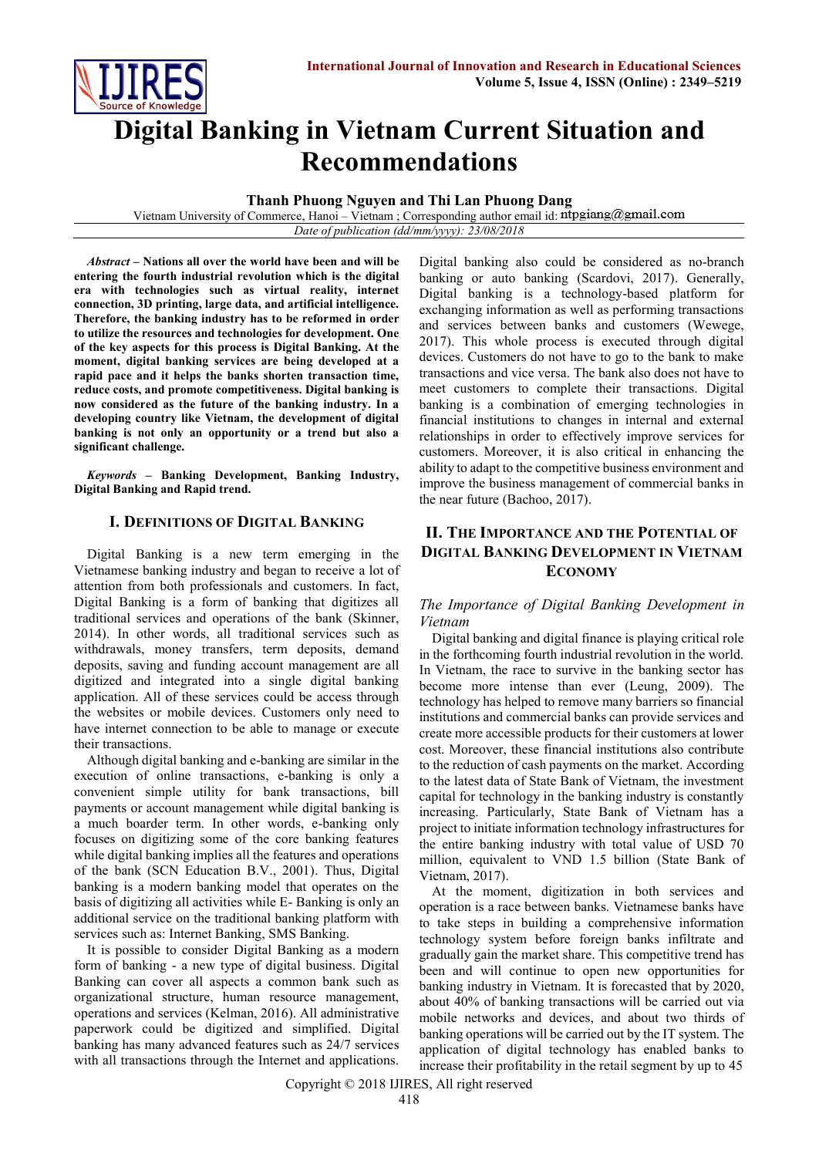

# **Digital Banking in Vietnam Current Situation and Recommendations**

**Thanh Phuong Nguyen and Thi Lan Phuong Dang**

Vietnam University of Commerce, Hanoi - Vietnam ; Corresponding author email id: ntpgiang@gmail.com *Date of publication (dd/mm/yyyy): 23/08/2018*

*Abstract* **– Nations all over the world have been and will be entering the fourth industrial revolution which is the digital era with technologies such as virtual reality, internet connection, 3D printing, large data, and artificial intelligence. Therefore, the banking industry has to be reformed in order to utilize the resources and technologies for development. One of the key aspects for this process is Digital Banking. At the moment, digital banking services are being developed at a rapid pace and it helps the banks shorten transaction time, reduce costs, and promote competitiveness. Digital banking is now considered as the future of the banking industry. In a developing country like Vietnam, the development of digital banking is not only an opportunity or a trend but also a significant challenge.**

*Keywords* **– Banking Development, Banking Industry, Digital Banking and Rapid trend.**

# **I. DEFINITIONS OF DIGITAL BANKING**

Digital Banking is a new term emerging in the Vietnamese banking industry and began to receive a lot of attention from both professionals and customers. In fact, Digital Banking is a form of banking that digitizes all traditional services and operations of the bank (Skinner, 2014). In other words, all traditional services such as withdrawals, money transfers, term deposits, demand deposits, saving and funding account management are all digitized and integrated into a single digital banking application. All of these services could be access through the websites or mobile devices. Customers only need to have internet connection to be able to manage or execute their transactions.

Although digital banking and e-banking are similar in the execution of online transactions, e-banking is only a convenient simple utility for bank transactions, bill payments or account management while digital banking is a much boarder term. In other words, e-banking only focuses on digitizing some of the core banking features while digital banking implies all the features and operations of the bank (SCN Education B.V., 2001). Thus, Digital banking is a modern banking model that operates on the basis of digitizing all activities while E- Banking is only an additional service on the traditional banking platform with services such as: Internet Banking, SMS Banking.

It is possible to consider Digital Banking as a modern form of banking - a new type of digital business. Digital Banking can cover all aspects a common bank such as organizational structure, human resource management, operations and services (Kelman, 2016). All administrative paperwork could be digitized and simplified. Digital banking has many advanced features such as 24/7 services with all transactions through the Internet and applications. Digital banking also could be considered as no-branch banking or auto banking (Scardovi, 2017). Generally, Digital banking is a technology-based platform for exchanging information as well as performing transactions and services between banks and customers (Wewege, 2017). This whole process is executed through digital devices. Customers do not have to go to the bank to make transactions and vice versa. The bank also does not have to meet customers to complete their transactions. Digital banking is a combination of emerging technologies in financial institutions to changes in internal and external relationships in order to effectively improve services for customers. Moreover, it is also critical in enhancing the ability to adapt to the competitive business environment and improve the business management of commercial banks in the near future (Bachoo, 2017).

# **II. THE IMPORTANCE AND THE POTENTIAL OF DIGITAL BANKING DEVELOPMENT IN VIETNAM ECONOMY**

# *The Importance of Digital Banking Development in Vietnam*

Digital banking and digital finance is playing critical role in the forthcoming fourth industrial revolution in the world. In Vietnam, the race to survive in the banking sector has become more intense than ever (Leung, 2009). The technology has helped to remove many barriers so financial institutions and commercial banks can provide services and create more accessible products for their customers at lower cost. Moreover, these financial institutions also contribute to the reduction of cash payments on the market. According to the latest data of State Bank of Vietnam, the investment capital for technology in the banking industry is constantly increasing. Particularly, State Bank of Vietnam has a project to initiate information technology infrastructures for the entire banking industry with total value of USD 70 million, equivalent to VND 1.5 billion (State Bank of Vietnam, 2017).

At the moment, digitization in both services and operation is a race between banks. Vietnamese banks have to take steps in building a comprehensive information technology system before foreign banks infiltrate and gradually gain the market share. This competitive trend has been and will continue to open new opportunities for banking industry in Vietnam. It is forecasted that by 2020, about 40% of banking transactions will be carried out via mobile networks and devices, and about two thirds of banking operations will be carried out by the IT system. The application of digital technology has enabled banks to increase their profitability in the retail segment by up to 45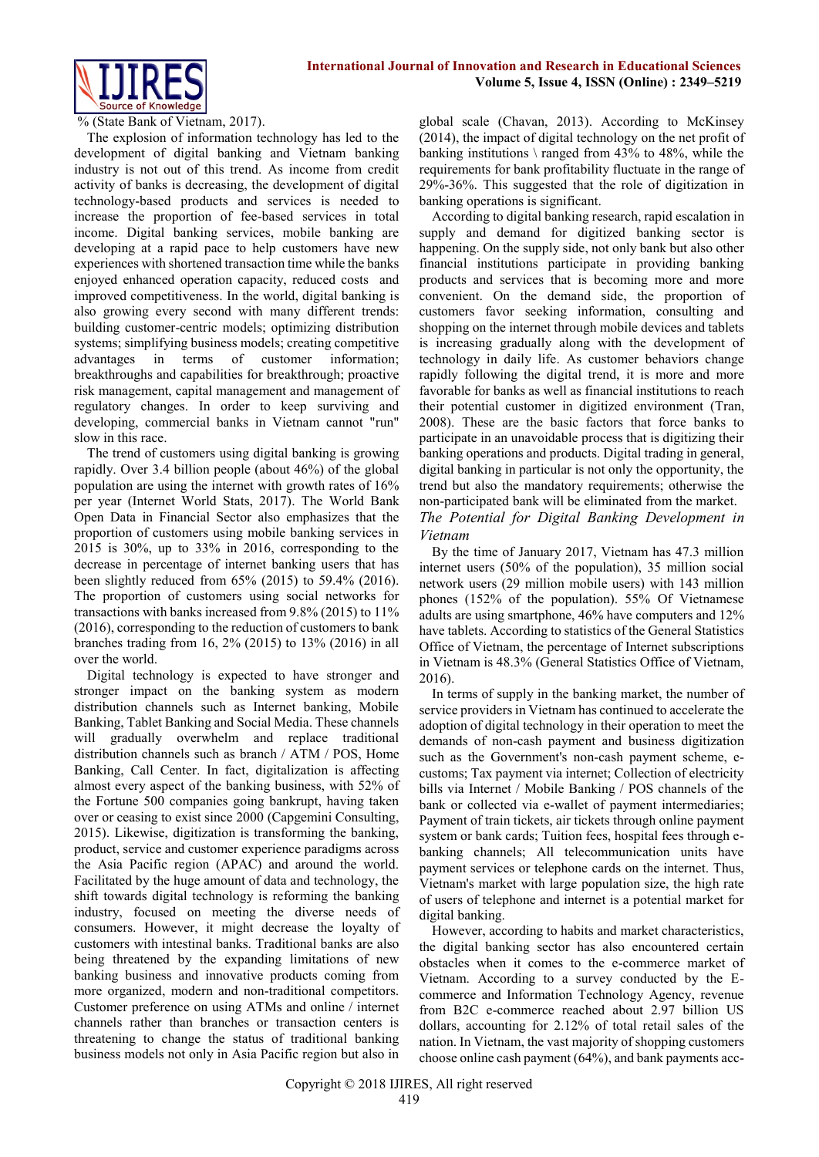

% (State Bank of Vietnam, 2017).

The explosion of information technology has led to the development of digital banking and Vietnam banking industry is not out of this trend. As income from credit activity of banks is decreasing, the development of digital technology-based products and services is needed to increase the proportion of fee-based services in total income. Digital banking services, mobile banking are developing at a rapid pace to help customers have new experiences with shortened transaction time while the banks enjoyed enhanced operation capacity, reduced costs and improved competitiveness. In the world, digital banking is also growing every second with many different trends: building customer-centric models; optimizing distribution systems; simplifying business models; creating competitive advantages in terms of customer information; breakthroughs and capabilities for breakthrough; proactive risk management, capital management and management of regulatory changes. In order to keep surviving and developing, commercial banks in Vietnam cannot "run" slow in this race.

The trend of customers using digital banking is growing rapidly. Over 3.4 billion people (about 46%) of the global population are using the internet with growth rates of 16% per year (Internet World Stats, 2017). The World Bank Open Data in Financial Sector also emphasizes that the proportion of customers using mobile banking services in 2015 is 30%, up to 33% in 2016, corresponding to the decrease in percentage of internet banking users that has been slightly reduced from 65% (2015) to 59.4% (2016). The proportion of customers using social networks for transactions with banks increased from 9.8% (2015) to 11% (2016), corresponding to the reduction of customers to bank branches trading from 16, 2% (2015) to 13% (2016) in all over the world.

Digital technology is expected to have stronger and stronger impact on the banking system as modern distribution channels such as Internet banking, Mobile Banking, Tablet Banking and Social Media. These channels will gradually overwhelm and replace traditional distribution channels such as branch / ATM / POS, Home Banking, Call Center. In fact, digitalization is affecting almost every aspect of the banking business, with 52% of the Fortune 500 companies going bankrupt, having taken over or ceasing to exist since 2000 (Capgemini Consulting, 2015). Likewise, digitization is transforming the banking, product, service and customer experience paradigms across the Asia Pacific region (APAC) and around the world. Facilitated by the huge amount of data and technology, the shift towards digital technology is reforming the banking industry, focused on meeting the diverse needs of consumers. However, it might decrease the loyalty of customers with intestinal banks. Traditional banks are also being threatened by the expanding limitations of new banking business and innovative products coming from more organized, modern and non-traditional competitors. Customer preference on using ATMs and online / internet channels rather than branches or transaction centers is threatening to change the status of traditional banking business models not only in Asia Pacific region but also in

global scale (Chavan, 2013). According to McKinsey (2014), the impact of digital technology on the net profit of banking institutions  $\angle$  ranged from 43% to 48%, while the requirements for bank profitability fluctuate in the range of 29%-36%. This suggested that the role of digitization in banking operations is significant.

According to digital banking research, rapid escalation in supply and demand for digitized banking sector is happening. On the supply side, not only bank but also other financial institutions participate in providing banking products and services that is becoming more and more convenient. On the demand side, the proportion of customers favor seeking information, consulting and shopping on the internet through mobile devices and tablets is increasing gradually along with the development of technology in daily life. As customer behaviors change rapidly following the digital trend, it is more and more favorable for banks as well as financial institutions to reach their potential customer in digitized environment (Tran, 2008). These are the basic factors that force banks to participate in an unavoidable process that is digitizing their banking operations and products. Digital trading in general, digital banking in particular is not only the opportunity, the trend but also the mandatory requirements; otherwise the non-participated bank will be eliminated from the market. *The Potential for Digital Banking Development in Vietnam*

By the time of January 2017, Vietnam has 47.3 million internet users (50% of the population), 35 million social network users (29 million mobile users) with 143 million phones (152% of the population). 55% Of Vietnamese adults are using smartphone, 46% have computers and 12% have tablets. According to statistics of the General Statistics Office of Vietnam, the percentage of Internet subscriptions in Vietnam is 48.3% (General Statistics Office of Vietnam, 2016).

In terms of supply in the banking market, the number of service providers in Vietnam has continued to accelerate the adoption of digital technology in their operation to meet the demands of non-cash payment and business digitization such as the Government's non-cash payment scheme, ecustoms; Tax payment via internet; Collection of electricity bills via Internet / Mobile Banking / POS channels of the bank or collected via e-wallet of payment intermediaries; Payment of train tickets, air tickets through online payment system or bank cards; Tuition fees, hospital fees through ebanking channels; All telecommunication units have payment services or telephone cards on the internet. Thus, Vietnam's market with large population size, the high rate of users of telephone and internet is a potential market for digital banking.

However, according to habits and market characteristics, the digital banking sector has also encountered certain obstacles when it comes to the e-commerce market of Vietnam. According to a survey conducted by the Ecommerce and Information Technology Agency, revenue from B2C e-commerce reached about 2.97 billion US dollars, accounting for 2.12% of total retail sales of the nation. In Vietnam, the vast majority of shopping customers choose online cash payment (64%), and bank payments acc-